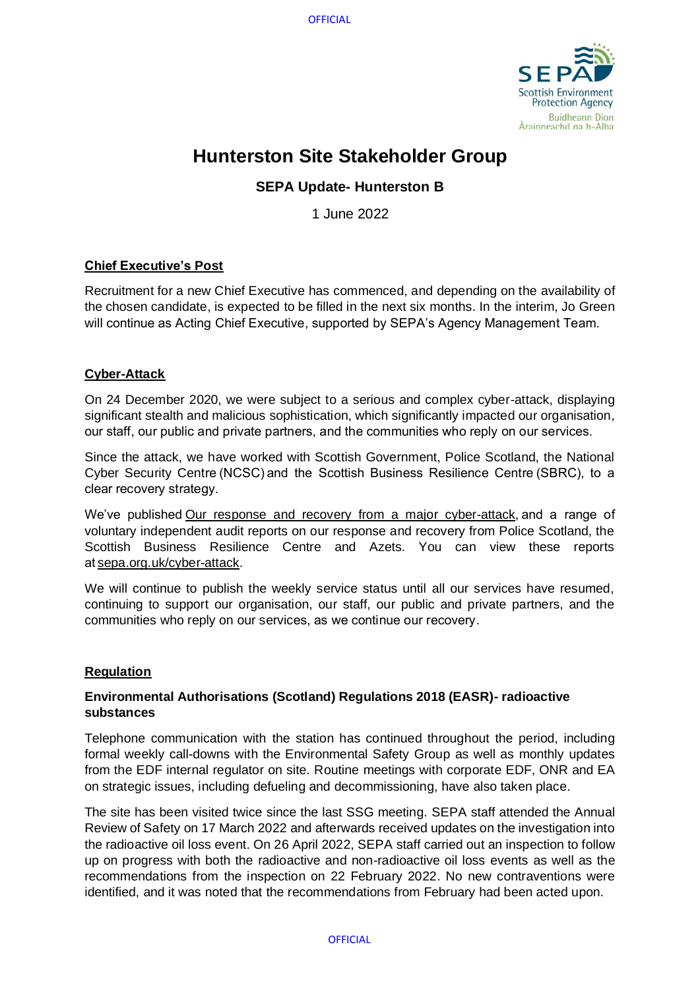

# **Hunterston Site Stakeholder Group**

## **SEPA Update- Hunterston B**

1 June 2022

## **Chief Executive's Post**

Recruitment for a new Chief Executive has commenced, and depending on the availability of the chosen candidate, is expected to be filled in the next six months. In the interim, Jo Green will continue as Acting Chief Executive, supported by SEPA's Agency Management Team.

## **Cyber-Attack**

On 24 December 2020, we were subject to a serious and complex cyber-attack, displaying significant stealth and malicious sophistication, which significantly impacted our organisation, our staff, our public and private partners, and the communities who reply on our services.  

Since the attack, we have worked with Scottish Government, Police Scotland, the National Cyber Security Centre (NCSC) and the Scottish Business Resilience Centre (SBRC), to a clear recovery strategy. 

We've publishe[d Our response and recovery from a major cyber-attack,](https://www.sepa.org.uk/media/593774/sepas-response-and-recovery-from-a-major-cyber-attack.pdf) and a range of voluntary independent audit reports on our response and recovery from Police Scotland, the Scottish Business Resilience Centre and Azets. You can view these reports a[t sepa.org.uk/cyber-attack.](https://www.sepa.org.uk/about-us/cyber-attack/) 

We will continue to publish the weekly service status until all our services have resumed, continuing to support our organisation, our staff, our public and private partners, and the communities who reply on our services, as we continue our recovery. 

## **Regulation**

## **Environmental Authorisations (Scotland) Regulations 2018 (EASR)- radioactive substances**

Telephone communication with the station has continued throughout the period, including formal weekly call-downs with the Environmental Safety Group as well as monthly updates from the EDF internal regulator on site. Routine meetings with corporate EDF, ONR and EA on strategic issues, including defueling and decommissioning, have also taken place.

The site has been visited twice since the last SSG meeting. SEPA staff attended the Annual Review of Safety on 17 March 2022 and afterwards received updates on the investigation into the radioactive oil loss event. On 26 April 2022, SEPA staff carried out an inspection to follow up on progress with both the radioactive and non-radioactive oil loss events as well as the recommendations from the inspection on 22 February 2022. No new contraventions were identified, and it was noted that the recommendations from February had been acted upon.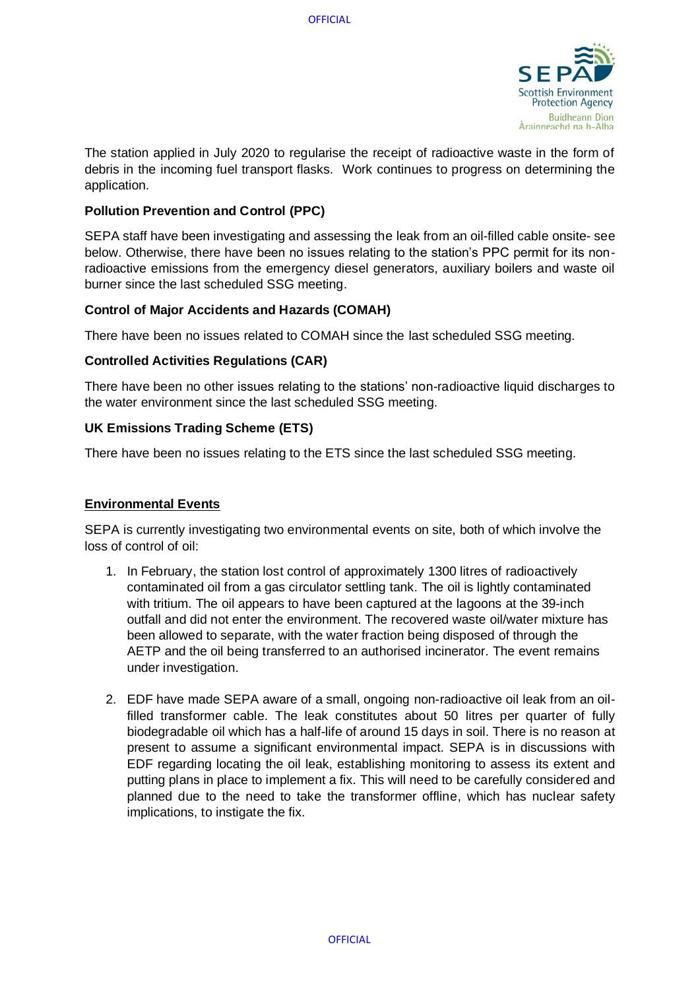

The station applied in July 2020 to regularise the receipt of radioactive waste in the form of debris in the incoming fuel transport flasks. Work continues to progress on determining the application.

## **Pollution Prevention and Control (PPC)**

SEPA staff have been investigating and assessing the leak from an oil-filled cable onsite- see below. Otherwise, there have been no issues relating to the station's PPC permit for its nonradioactive emissions from the emergency diesel generators, auxiliary boilers and waste oil burner since the last scheduled SSG meeting.

## **Control of Major Accidents and Hazards (COMAH)**

There have been no issues related to COMAH since the last scheduled SSG meeting.

#### **Controlled Activities Regulations (CAR)**

There have been no other issues relating to the stations' non-radioactive liquid discharges to the water environment since the last scheduled SSG meeting.

#### **UK Emissions Trading Scheme (ETS)**

There have been no issues relating to the ETS since the last scheduled SSG meeting.

## **Environmental Events**

SEPA is currently investigating two environmental events on site, both of which involve the loss of control of oil:

- 1. In February, the station lost control of approximately 1300 litres of radioactively contaminated oil from a gas circulator settling tank. The oil is lightly contaminated with tritium. The oil appears to have been captured at the lagoons at the 39-inch outfall and did not enter the environment. The recovered waste oil/water mixture has been allowed to separate, with the water fraction being disposed of through the AETP and the oil being transferred to an authorised incinerator. The event remains under investigation.
- 2. EDF have made SEPA aware of a small, ongoing non-radioactive oil leak from an oilfilled transformer cable. The leak constitutes about 50 litres per quarter of fully biodegradable oil which has a half-life of around 15 days in soil. There is no reason at present to assume a significant environmental impact. SEPA is in discussions with EDF regarding locating the oil leak, establishing monitoring to assess its extent and putting plans in place to implement a fix. This will need to be carefully considered and planned due to the need to take the transformer offline, which has nuclear safety implications, to instigate the fix.